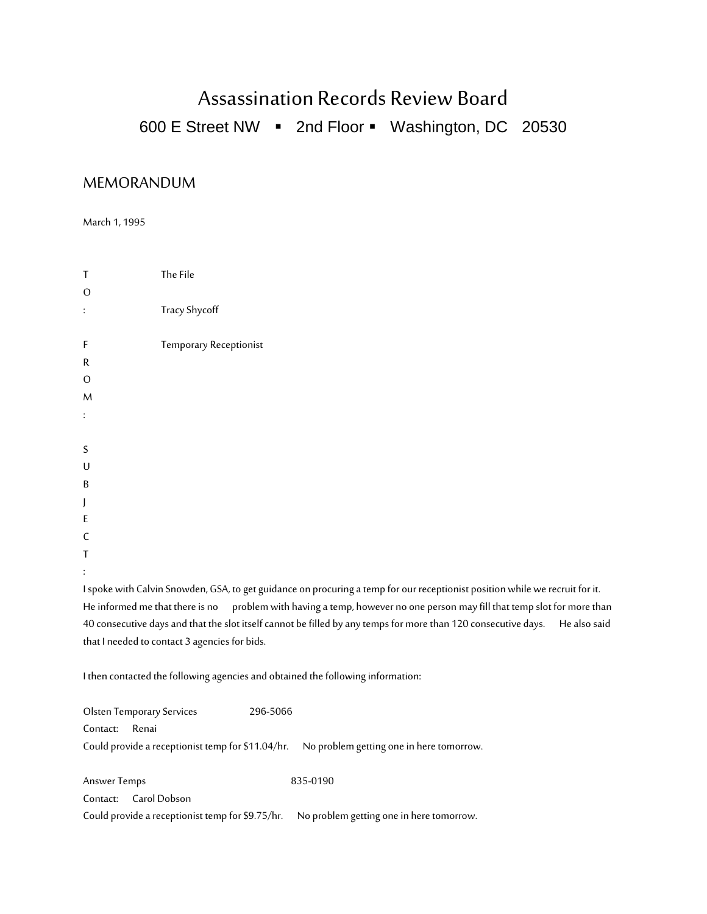## Assassination Records Review Board

600 E Street NW  $\cdot$  2nd Floor  $\cdot$  Washington, DC 20530

## MEMORANDUM

March 1, 1995

| T              | The File               |
|----------------|------------------------|
| $\mathbf 0$    |                        |
| $\ddot{\cdot}$ | Tracy Shycoff          |
|                |                        |
| F              | Temporary Receptionist |
| $\mathsf R$    |                        |
| $\circ$        |                        |
| $\overline{M}$ |                        |
| $\ddot{\cdot}$ |                        |
|                |                        |
| $\sf S$        |                        |
| U              |                        |
| B              |                        |
| J              |                        |
| E              |                        |
| $\mathsf{C}$   |                        |
| Τ              |                        |
| $\vdots$       |                        |

I spoke with Calvin Snowden, GSA, to get guidance on procuring a temp for our receptionist position while we recruit for it. He informed me that there is no problem with having a temp, however no one person may fill that temp slot for more than 40 consecutive days and that the slot itself cannot be filled by any temps for more than 120 consecutive days. He also said that I needed to contact 3 agencies for bids.

I then contacted the following agencies and obtained the following information:

| <b>Olsten Temporary Services</b> | 296-5066                                                                                   |
|----------------------------------|--------------------------------------------------------------------------------------------|
| Renai<br>Contact:                |                                                                                            |
|                                  | Could provide a receptionist temp for \$11.04/hr. No problem getting one in here tomorrow. |
|                                  |                                                                                            |
| Answer Temps                     | 835-0190                                                                                   |
| Contact: Carol Dobson            |                                                                                            |

Could provide a receptionist temp for \$9.75/hr. No problem getting one in here tomorrow.